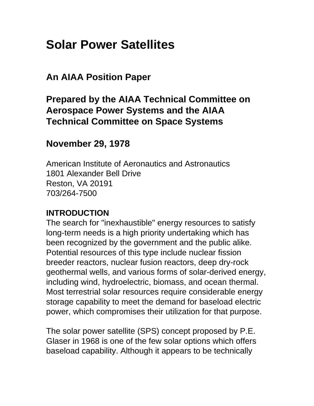# **Solar Power Satellites**

# **An AIAA Position Paper**

# **Prepared by the AIAA Technical Committee on Aerospace Power Systems and the AIAA Technical Committee on Space Systems**

## **November 29, 1978**

American Institute of Aeronautics and Astronautics 1801 Alexander Bell Drive Reston, VA 20191 703/264-7500

#### **INTRODUCTION**

The search for "inexhaustible" energy resources to satisfy long-term needs is a high priority undertaking which has been recognized by the government and the public alike. Potential resources of this type include nuclear fission breeder reactors, nuclear fusion reactors, deep dry-rock geothermal wells, and various forms of solar-derived energy, including wind, hydroelectric, biomass, and ocean thermal. Most terrestrial solar resources require considerable energy storage capability to meet the demand for baseload electric power, which compromises their utilization for that purpose.

The solar power satellite (SPS) concept proposed by P.E. Glaser in 1968 is one of the few solar options which offers baseload capability. Although it appears to be technically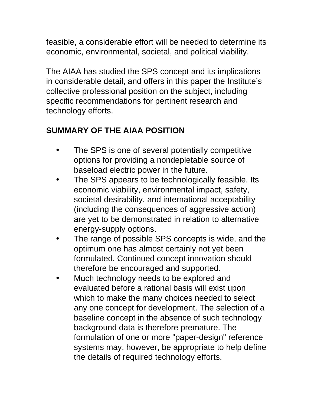feasible, a considerable effort will be needed to determine its economic, environmental, societal, and political viability.

The AIAA has studied the SPS concept and its implications in considerable detail, and offers in this paper the Institute's collective professional position on the subject, including specific recommendations for pertinent research and technology efforts.

# **SUMMARY OF THE AIAA POSITION**

- The SPS is one of several potentially competitive options for providing a nondepletable source of baseload electric power in the future.
- The SPS appears to be technologically feasible. Its economic viability, environmental impact, safety, societal desirability, and international acceptability (including the consequences of aggressive action) are yet to be demonstrated in relation to alternative energy-supply options.
- The range of possible SPS concepts is wide, and the optimum one has almost certainly not yet been formulated. Continued concept innovation should therefore be encouraged and supported.
- Much technology needs to be explored and evaluated before a rational basis will exist upon which to make the many choices needed to select any one concept for development. The selection of a baseline concept in the absence of such technology background data is therefore premature. The formulation of one or more "paper-design" reference systems may, however, be appropriate to help define the details of required technology efforts.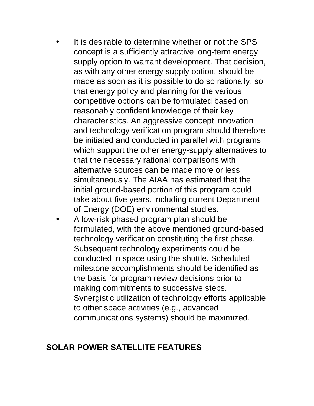- It is desirable to determine whether or not the SPS concept is a sufficiently attractive long-term energy supply option to warrant development. That decision, as with any other energy supply option, should be made as soon as it is possible to do so rationally, so that energy policy and planning for the various competitive options can be formulated based on reasonably confident knowledge of their key characteristics. An aggressive concept innovation and technology verification program should therefore be initiated and conducted in parallel with programs which support the other energy-supply alternatives to that the necessary rational comparisons with alternative sources can be made more or less simultaneously. The AIAA has estimated that the initial ground-based portion of this program could take about five years, including current Department of Energy (DOE) environmental studies.
- A low-risk phased program plan should be formulated, with the above mentioned ground-based technology verification constituting the first phase. Subsequent technology experiments could be conducted in space using the shuttle. Scheduled milestone accomplishments should be identified as the basis for program review decisions prior to making commitments to successive steps. Synergistic utilization of technology efforts applicable to other space activities (e.g., advanced communications systems) should be maximized.

## **SOLAR POWER SATELLITE FEATURES**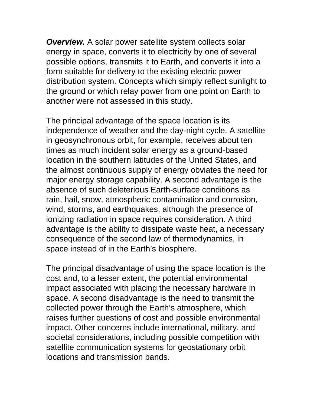**Overview.** A solar power satellite system collects solar energy in space, converts it to electricity by one of several possible options, transmits it to Earth, and converts it into a form suitable for delivery to the existing electric power distribution system. Concepts which simply reflect sunlight to the ground or which relay power from one point on Earth to another were not assessed in this study.

The principal advantage of the space location is its independence of weather and the day-night cycle. A satellite in geosynchronous orbit, for example, receives about ten times as much incident solar energy as a ground-based location in the southern latitudes of the United States, and the almost continuous supply of energy obviates the need for major energy storage capability. A second advantage is the absence of such deleterious Earth-surface conditions as rain, hail, snow, atmospheric contamination and corrosion, wind, storms, and earthquakes, although the presence of ionizing radiation in space requires consideration. A third advantage is the ability to dissipate waste heat, a necessary consequence of the second law of thermodynamics, in space instead of in the Earth's biosphere.

The principal disadvantage of using the space location is the cost and, to a lesser extent, the potential environmental impact associated with placing the necessary hardware in space. A second disadvantage is the need to transmit the collected power through the Earth's atmosphere, which raises further questions of cost and possible environmental impact. Other concerns include international, military, and societal considerations, including possible competition with satellite communication systems for geostationary orbit locations and transmission bands.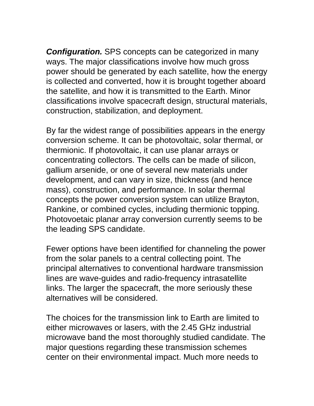*Configuration.* SPS concepts can be categorized in many ways. The major classifications involve how much gross power should be generated by each satellite, how the energy is collected and converted, how it is brought together aboard the satellite, and how it is transmitted to the Earth. Minor classifications involve spacecraft design, structural materials, construction, stabilization, and deployment.

By far the widest range of possibilities appears in the energy conversion scheme. It can be photovoltaic, solar thermal, or thermionic. If photovoltaic, it can use planar arrays or concentrating collectors. The cells can be made of silicon, gallium arsenide, or one of several new materials under development, and can vary in size, thickness (and hence mass), construction, and performance. In solar thermal concepts the power conversion system can utilize Brayton, Rankine, or combined cycles, including thermionic topping. Photovoetaic planar array conversion currently seems to be the leading SPS candidate.

Fewer options have been identified for channeling the power from the solar panels to a central collecting point. The principal alternatives to conventional hardware transmission lines are wave-guides and radio-frequency intrasatellite links. The larger the spacecraft, the more seriously these alternatives will be considered.

The choices for the transmission link to Earth are limited to either microwaves or lasers, with the 2.45 GHz industrial microwave band the most thoroughly studied candidate. The major questions regarding these transmission schemes center on their environmental impact. Much more needs to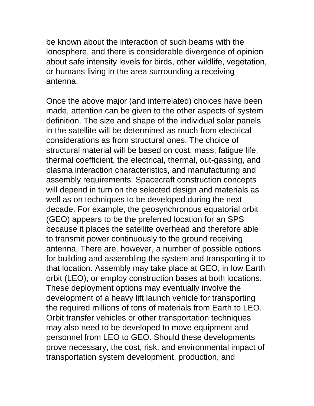be known about the interaction of such beams with the ionosphere, and there is considerable divergence of opinion about safe intensity levels for birds, other wildlife, vegetation, or humans living in the area surrounding a receiving antenna.

Once the above major (and interrelated) choices have been made, attention can be given to the other aspects of system definition. The size and shape of the individual solar panels in the satellite will be determined as much from electrical considerations as from structural ones. The choice of structural material will be based on cost, mass, fatigue life, thermal coefficient, the electrical, thermal, out-gassing, and plasma interaction characteristics, and manufacturing and assembly requirements. Spacecraft construction concepts will depend in turn on the selected design and materials as well as on techniques to be developed during the next decade. For example, the geosynchronous equatorial orbit (GEO) appears to be the preferred location for an SPS because it places the satellite overhead and therefore able to transmit power continuously to the ground receiving antenna. There are, however, a number of possible options for building and assembling the system and transporting it to that location. Assembly may take place at GEO, in low Earth orbit (LEO), or employ construction bases at both locations. These deployment options may eventually involve the development of a heavy lift launch vehicle for transporting the required millions of tons of materials from Earth to LEO. Orbit transfer vehicles or other transportation techniques may also need to be developed to move equipment and personnel from LEO to GEO. Should these developments prove necessary, the cost, risk, and environmental impact of transportation system development, production, and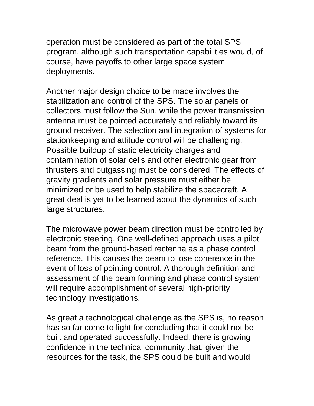operation must be considered as part of the total SPS program, although such transportation capabilities would, of course, have payoffs to other large space system deployments.

Another major design choice to be made involves the stabilization and control of the SPS. The solar panels or collectors must follow the Sun, while the power transmission antenna must be pointed accurately and reliably toward its ground receiver. The selection and integration of systems for stationkeeping and attitude control will be challenging. Possible buildup of static electricity charges and contamination of solar cells and other electronic gear from thrusters and outgassing must be considered. The effects of gravity gradients and solar pressure must either be minimized or be used to help stabilize the spacecraft. A great deal is yet to be learned about the dynamics of such large structures.

The microwave power beam direction must be controlled by electronic steering. One well-defined approach uses a pilot beam from the ground-based rectenna as a phase control reference. This causes the beam to lose coherence in the event of loss of pointing control. A thorough definition and assessment of the beam forming and phase control system will require accomplishment of several high-priority technology investigations.

As great a technological challenge as the SPS is, no reason has so far come to light for concluding that it could not be built and operated successfully. Indeed, there is growing confidence in the technical community that, given the resources for the task, the SPS could be built and would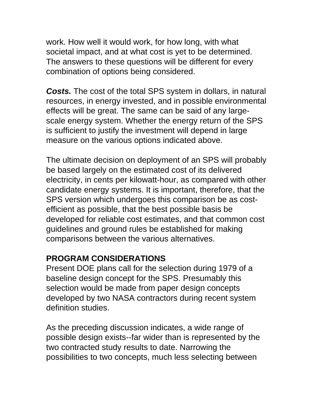work. How well it would work, for how long, with what societal impact, and at what cost is yet to be determined. The answers to these questions will be different for every combination of options being considered.

*Costs.* The cost of the total SPS system in dollars, in natural resources, in energy invested, and in possible environmental effects will be great. The same can be said of any largescale energy system. Whether the energy return of the SPS is sufficient to justify the investment will depend in large measure on the various options indicated above.

The ultimate decision on deployment of an SPS will probably be based largely on the estimated cost of its delivered electricity, in cents per kilowatt-hour, as compared with other candidate energy systems. It is important, therefore, that the SPS version which undergoes this comparison be as costefficient as possible, that the best possible basis be developed for reliable cost estimates, and that common cost guidelines and ground rules be established for making comparisons between the various alternatives.

## **PROGRAM CONSIDERATIONS**

Present DOE plans call for the selection during 1979 of a baseline design concept for the SPS. Presumably this selection would be made from paper design concepts developed by two NASA contractors during recent system definition studies.

As the preceding discussion indicates, a wide range of possible design exists--far wider than is represented by the two contracted study results to date. Narrowing the possibilities to two concepts, much less selecting between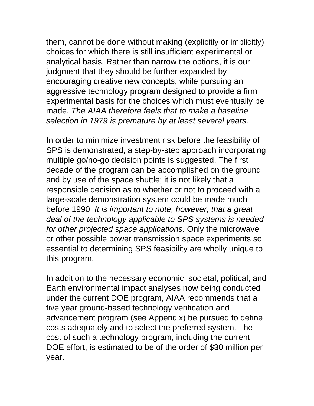them, cannot be done without making (explicitly or implicitly) choices for which there is still insufficient experimental or analytical basis. Rather than narrow the options, it is our judgment that they should be further expanded by encouraging creative new concepts, while pursuing an aggressive technology program designed to provide a firm experimental basis for the choices which must eventually be made. *The AIAA therefore feels that to make a baseline selection in 1979 is premature by at least several years.*

In order to minimize investment risk before the feasibility of SPS is demonstrated, a step-by-step approach incorporating multiple go/no-go decision points is suggested. The first decade of the program can be accomplished on the ground and by use of the space shuttle; it is not likely that a responsible decision as to whether or not to proceed with a large-scale demonstration system could be made much before 1990. *It is important to note, however, that a great deal of the technology applicable to SPS systems is needed for other projected space applications.* Only the microwave or other possible power transmission space experiments so essential to determining SPS feasibility are wholly unique to this program.

In addition to the necessary economic, societal, political, and Earth environmental impact analyses now being conducted under the current DOE program, AIAA recommends that a five year ground-based technology verification and advancement program (see Appendix) be pursued to define costs adequately and to select the preferred system. The cost of such a technology program, including the current DOE effort, is estimated to be of the order of \$30 million per year.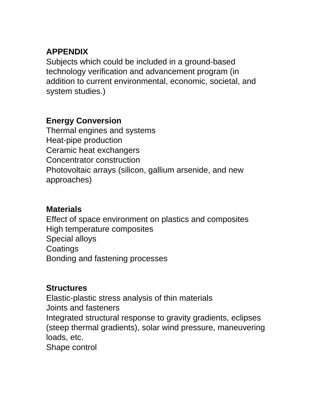## **APPENDIX**

Subjects which could be included in a ground-based technology verification and advancement program (in addition to current environmental, economic, societal, and system studies.)

## **Energy Conversion**

Thermal engines and systems Heat-pipe production Ceramic heat exchangers Concentrator construction Photovoltaic arrays (silicon, gallium arsenide, and new approaches)

# **Materials**

Effect of space environment on plastics and composites High temperature composites Special alloys **Coatings** Bonding and fastening processes

# **Structures**

Elastic-plastic stress analysis of thin materials Joints and fasteners Integrated structural response to gravity gradients, eclipses (steep thermal gradients), solar wind pressure, maneuvering loads, etc. Shape control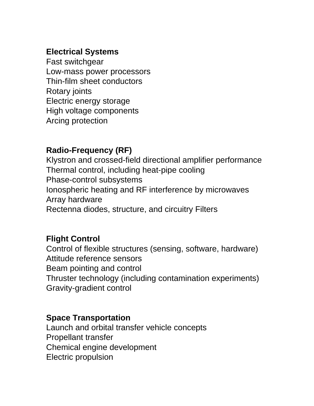## **Electrical Systems**

Fast switchgear Low-mass power processors Thin-film sheet conductors Rotary joints Electric energy storage High voltage components Arcing protection

## **Radio-Frequency (RF)**

Klystron and crossed-field directional amplifier performance Thermal control, including heat-pipe cooling Phase-control subsystems Ionospheric heating and RF interference by microwaves Array hardware Rectenna diodes, structure, and circuitry Filters

## **Flight Control**

Control of flexible structures (sensing, software, hardware) Attitude reference sensors Beam pointing and control Thruster technology (including contamination experiments) Gravity-gradient control

#### **Space Transportation**

Launch and orbital transfer vehicle concepts Propellant transfer Chemical engine development Electric propulsion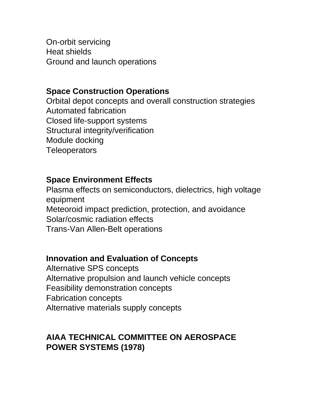On-orbit servicing Heat shields Ground and launch operations

#### **Space Construction Operations**

Orbital depot concepts and overall construction strategies Automated fabrication Closed life-support systems Structural integrity/verification Module docking **Teleoperators** 

#### **Space Environment Effects**

Plasma effects on semiconductors, dielectrics, high voltage equipment Meteoroid impact prediction, protection, and avoidance Solar/cosmic radiation effects Trans-Van Allen-Belt operations

#### **Innovation and Evaluation of Concepts**

Alternative SPS concepts Alternative propulsion and launch vehicle concepts Feasibility demonstration concepts Fabrication concepts Alternative materials supply concepts

#### **AIAA TECHNICAL COMMITTEE ON AEROSPACE POWER SYSTEMS (1978)**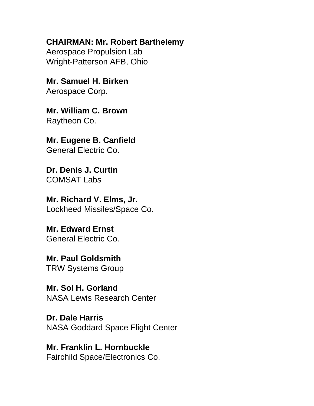**CHAIRMAN: Mr. Robert Barthelemy**

Aerospace Propulsion Lab Wright-Patterson AFB, Ohio

**Mr. Samuel H. Birken** Aerospace Corp.

**Mr. William C. Brown** Raytheon Co.

**Mr. Eugene B. Canfield** General Electric Co.

**Dr. Denis J. Curtin** COMSAT Labs

**Mr. Richard V. Elms, Jr.** Lockheed Missiles/Space Co.

**Mr. Edward Ernst** General Electric Co.

**Mr. Paul Goldsmith** TRW Systems Group

**Mr. Sol H. Gorland** NASA Lewis Research Center

**Dr. Dale Harris** NASA Goddard Space Flight Center

**Mr. Franklin L. Hornbuckle** Fairchild Space/Electronics Co.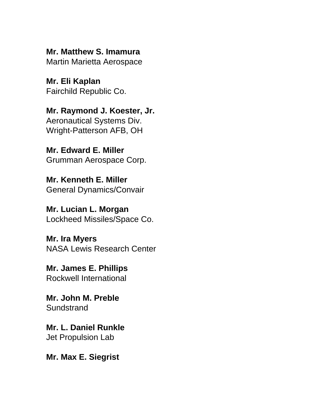**Mr. Matthew S. Imamura** Martin Marietta Aerospace

**Mr. Eli Kaplan** Fairchild Republic Co.

**Mr. Raymond J. Koester, Jr.** Aeronautical Systems Div. Wright-Patterson AFB, OH

**Mr. Edward E. Miller** Grumman Aerospace Corp.

**Mr. Kenneth E. Miller** General Dynamics/Convair

**Mr. Lucian L. Morgan** Lockheed Missiles/Space Co.

**Mr. Ira Myers** NASA Lewis Research Center

**Mr. James E. Phillips** Rockwell International

**Mr. John M. Preble Sundstrand** 

**Mr. L. Daniel Runkle** Jet Propulsion Lab

**Mr. Max E. Siegrist**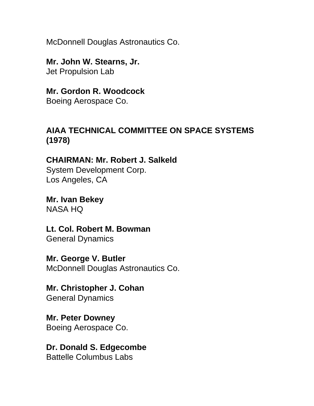McDonnell Douglas Astronautics Co.

**Mr. John W. Stearns, Jr.** Jet Propulsion Lab

**Mr. Gordon R. Woodcock** Boeing Aerospace Co.

#### **AIAA TECHNICAL COMMITTEE ON SPACE SYSTEMS (1978)**

**CHAIRMAN: Mr. Robert J. Salkeld**

System Development Corp. Los Angeles, CA

**Mr. Ivan Bekey** NASA HQ

**Lt. Col. Robert M. Bowman** General Dynamics

**Mr. George V. Butler** McDonnell Douglas Astronautics Co.

**Mr. Christopher J. Cohan** General Dynamics

**Mr. Peter Downey** Boeing Aerospace Co.

**Dr. Donald S. Edgecombe** Battelle Columbus Labs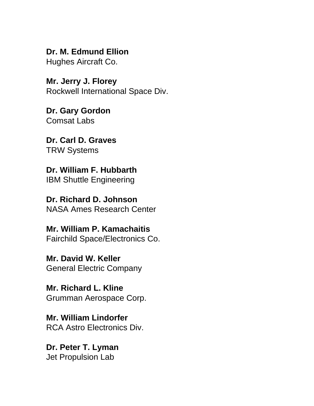**Dr. M. Edmund Ellion** Hughes Aircraft Co.

**Mr. Jerry J. Florey** Rockwell International Space Div.

**Dr. Gary Gordon** Comsat Labs

**Dr. Carl D. Graves** TRW Systems

**Dr. William F. Hubbarth** IBM Shuttle Engineering

**Dr. Richard D. Johnson** NASA Ames Research Center

**Mr. William P. Kamachaitis** Fairchild Space/Electronics Co.

**Mr. David W. Keller** General Electric Company

**Mr. Richard L. Kline** Grumman Aerospace Corp.

**Mr. William Lindorfer** RCA Astro Electronics Div.

**Dr. Peter T. Lyman** Jet Propulsion Lab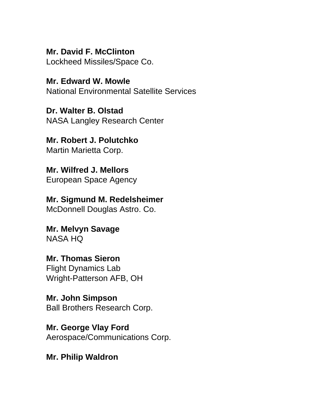**Mr. David F. McClinton** Lockheed Missiles/Space Co.

**Mr. Edward W. Mowle** National Environmental Satellite Services

**Dr. Walter B. Olstad** NASA Langley Research Center

**Mr. Robert J. Polutchko** Martin Marietta Corp.

**Mr. Wilfred J. Mellors** European Space Agency

**Mr. Sigmund M. Redelsheimer** McDonnell Douglas Astro. Co.

**Mr. Melvyn Savage** NASA HQ

**Mr. Thomas Sieron** Flight Dynamics Lab Wright-Patterson AFB, OH

**Mr. John Simpson** Ball Brothers Research Corp.

**Mr. George Vlay Ford** Aerospace/Communications Corp.

**Mr. Philip Waldron**